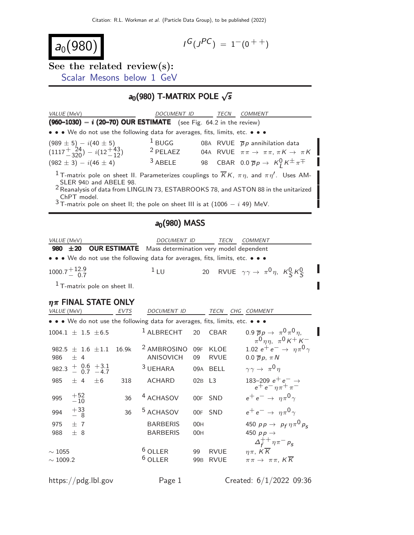$a_0(980)$ 

$$
I^G(J^{PC}) = 1^-(0^{++})
$$

See the related review(s): [Scalar Mesons below 1 GeV](http://pdg.lbl.gov/2022/reviews/rpp2021-rev-scalar-mesons.pdf)

## $a_0(980)$  T-MATRIX POLE  $\sqrt{s}$

| VALUE (MeV)                                                                                                                                                                                                                                                             | <b>DOCUMENT ID</b> |  | TECN | COMMENT                                                         |  |  |  |  |
|-------------------------------------------------------------------------------------------------------------------------------------------------------------------------------------------------------------------------------------------------------------------------|--------------------|--|------|-----------------------------------------------------------------|--|--|--|--|
| $(960-1030) - i (20-70)$ OUR ESTIMATE (see Fig. 64.2 in the review)                                                                                                                                                                                                     |                    |  |      |                                                                 |  |  |  |  |
| • • • We do not use the following data for averages, fits, limits, etc. • • •                                                                                                                                                                                           |                    |  |      |                                                                 |  |  |  |  |
| $(989 \pm 5) - i(40 \pm 5)$                                                                                                                                                                                                                                             | $1$ BUGG           |  |      | 08A RVUE $\bar{p}p$ annihilation data                           |  |  |  |  |
| $(1117 + {24 \over 320}) - i(12 + {43 \over 12})$                                                                                                                                                                                                                       | $2$ PELAEZ         |  |      | 04A RVUE $\pi \pi \rightarrow \pi \pi, \pi K \rightarrow \pi K$ |  |  |  |  |
| $(982 \pm 3) - i(46 \pm 4)$                                                                                                                                                                                                                                             | $3$ ABELE          |  |      | 98 CBAR 0.0 $\overline{p}p \rightarrow K_1^0 K^{\pm} \pi^{\mp}$ |  |  |  |  |
| <sup>1</sup> T-matrix pole on sheet II. Parameterizes couplings to $\overline{K}K$ , $\pi \eta$ , and $\pi \eta'$ . Uses AM-<br>SLER 94D and ABELE 98.<br><sup>2</sup> Reanalysis of data from LINGLIN 73, ESTABROOKS 78, and ASTON 88 in the unitarized<br>ChPT model. |                    |  |      |                                                                 |  |  |  |  |
| $3$ T-matrix pole on sheet II; the pole on sheet III is at (1006 - <i>i</i> 49) MeV.                                                                                                                                                                                    |                    |  |      |                                                                 |  |  |  |  |

#### $a_0(980)$  MASS

| VALUE (MeV)                                                                   | <i>DOCUMENT ID</i> | <i>TECN</i> | <i>COMMENT</i>                                                 |
|-------------------------------------------------------------------------------|--------------------|-------------|----------------------------------------------------------------|
| 980 ±20 OUR ESTIMATE Mass determination very model dependent                  |                    |             |                                                                |
| • • • We do not use the following data for averages, fits, limits, etc. • • • |                    |             |                                                                |
| $1000.7 + {12.9 \over 0.7}$                                                   | $1_{\text{H}}$     |             | 20 RVUE $\gamma \gamma \rightarrow \pi^0 \eta$ , $K_S^0 K_S^0$ |
| $1$ T-matrix pole on sheet II.                                                |                    |             |                                                                |

# $\eta \pi$  FINAL STATE ONLY<br>VALUE (MeV) EVTS

DOCUMENT ID TECN CHG COMMENT

|                              |                                  |         |       | • • • We do not use the following data for averages, fits, limits, etc. • • • |                       |                            |                                                                                           |
|------------------------------|----------------------------------|---------|-------|-------------------------------------------------------------------------------|-----------------------|----------------------------|-------------------------------------------------------------------------------------------|
|                              | $1004.1 \pm 1.5 \pm 6.5$         |         |       | $1$ ALBRECHT                                                                  | 20                    | <b>CBAR</b>                | 0.9 $\overline{p}p \rightarrow \pi^0 \pi^0 \eta$ ,<br>$\pi^0 \eta \eta$ , $\pi^0 K^+ K^-$ |
| 986                          | 982.5 $\pm$ 1.6 $\pm$ 1.1<br>± 4 |         | 16.9k | <sup>2</sup> AMBROSINO<br><b>ANISOVICH</b>                                    | 09F<br>09             | <b>KLOE</b><br><b>RVUE</b> | 1.02 $e^+e^- \to \eta \pi^0 \gamma$<br>$0.0 \overline{p} p$ , $\pi N$                     |
|                              | 982.3 $+$ 0.6 $+3.1$<br>0.7 -4.7 |         |       | <sup>3</sup> UEHARA                                                           |                       | 09A BELL                   | $\gamma \gamma \rightarrow \pi^0 \eta$                                                    |
| 985                          | ± 4                              | $\pm 6$ | 318   | ACHARD                                                                        | 02B L3                |                            | 183–209 $e^+e^-\rightarrow$<br>$e^+e^-\eta\pi^+\pi^-$                                     |
| 995                          | $^{+52}_{-10}$                   |         | 36    | <sup>4</sup> ACHASOV                                                          |                       | 00F SND                    | $e^+e^- \rightarrow \eta \pi^0 \gamma$                                                    |
| 994                          | $+33\n-8$                        |         | 36    | <sup>5</sup> ACHASOV                                                          |                       | 00F SND                    | $e^+e^- \rightarrow \eta \pi^0 \gamma$                                                    |
| 975                          | $+7$                             |         |       | <b>BARBERIS</b>                                                               | 00H                   |                            | 450 $pp \rightarrow p_f \eta \pi^0 p_s$                                                   |
| 988                          | ± 8                              |         |       | <b>BARBERIS</b>                                                               | 00H                   |                            | 450 $pp \rightarrow$<br>$\Delta_f^{++} \eta \pi^- p_s$                                    |
| $\sim 1055$<br>$\sim$ 1009.2 |                                  |         |       | $6$ OLLER<br>$6$ OLLER                                                        | 99<br>99 <sub>B</sub> | <b>RVUE</b><br><b>RVUE</b> | $\eta\pi$ , $K\overline{K}$<br>$\pi\pi \to \pi\pi$ , KK                                   |
|                              |                                  |         |       |                                                                               |                       |                            |                                                                                           |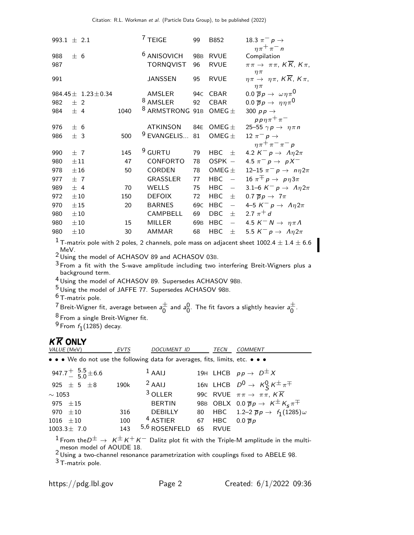| 993.1 $\pm$ 2.1 |          |                              |      | $7$ TEIGE                                  | 99                    | B852                                   | 18.3 $\pi^-$ p $\rightarrow$                                                                        |
|-----------------|----------|------------------------------|------|--------------------------------------------|-----------------------|----------------------------------------|-----------------------------------------------------------------------------------------------------|
| 988<br>987      | ± 6      |                              |      | <sup>6</sup> ANISOVICH<br><b>TORNQVIST</b> | 98 <sub>B</sub><br>96 | <b>RVUE</b><br><b>RVUE</b>             | $n\pi^+\pi^-$<br>Compilation<br>$\pi\pi \to \pi\pi$ , $K\overline{K}$ , $K\pi$ ,                    |
| 991             |          |                              |      | JANSSEN                                    | 95                    | <b>RVUE</b>                            | $\eta \pi$<br>$\eta \pi \to \eta \pi$ , $K \overline{K}$ , $K \pi$ ,<br>$\eta \pi$                  |
|                 |          | 984.45 $\pm$ 1.23 $\pm$ 0.34 |      | AMSLER                                     | 94C                   | <b>CBAR</b>                            | 0.0 $\overline{p}p \rightarrow \omega \eta \pi^0$                                                   |
| 982             | $±$ 2    |                              |      | <sup>8</sup> AMSLER                        | 92                    | CBAR                                   | 0.0 $\overline{p}p \rightarrow \eta \eta \pi^0$                                                     |
| 984             | ± 4      |                              | 1040 | <sup>8</sup> ARMSTRONG 91B                 |                       | $OMEG +$                               | 300 $pp \rightarrow$                                                                                |
|                 |          |                              |      |                                            |                       |                                        | $pp\eta\pi^+\pi^-$                                                                                  |
| 976             | ± 6      |                              |      | <b>ATKINSON</b>                            | 84E                   | OMEG $\pm$                             | 25-55 $\gamma p \rightarrow \eta \pi n$                                                             |
| 986             | ± 3      |                              | 500  | <sup>9</sup> EVANGELIS                     | 81                    | OMEG $\pm$                             | 12 $\pi^ p \rightarrow$                                                                             |
|                 |          |                              |      |                                            |                       |                                        | $n\pi^+\pi^-\pi^-$ p                                                                                |
| 990             | ±7       |                              | 145  | $9$ GURTU                                  | 79                    | HBC $\pm$                              | 4.2 $K^- p \rightarrow \Lambda \eta 2\pi$                                                           |
| 980             | $\pm 11$ |                              | 47   | CONFORTO                                   | 78                    | OSPK -                                 | 4.5 $\pi^-$ p $\to pX^-$                                                                            |
| 978             | ±16      |                              | 50   | <b>CORDEN</b>                              | 78                    | OMEG $\pm$                             | 12–15 $\pi^- p \to n\eta 2\pi$                                                                      |
| 977             | ±7       |                              |      | GRASSLER                                   | 77                    | <b>HBC</b><br>$\equiv$                 | 16 $\pi^{\mp} p \rightarrow p \eta 3\pi$                                                            |
| 989             | ± 4      |                              | 70   | <b>WELLS</b>                               | 75                    | <b>HBC</b><br>$\overline{\phantom{m}}$ | 3.1–6 $K^- p \rightarrow \Lambda \eta 2\pi$                                                         |
| 972             | $\pm 10$ |                              | 150  | <b>DEFOIX</b>                              | 72                    | <b>HBC</b><br>士                        | 0.7 $\overline{p}p \rightarrow 7\pi$                                                                |
| 970             | ±15      |                              | 20   | <b>BARNES</b>                              | 69 <sub>C</sub>       | <b>HBC</b><br>$\overline{\phantom{m}}$ | 4–5 $K^- p \rightarrow \Lambda \eta 2\pi$                                                           |
| 980             | ±10      |                              |      | CAMPBELL                                   | 69                    | <b>DBC</b><br>士                        | 2.7 $\pi^{+}$ d                                                                                     |
| 980             | $\pm 10$ |                              | 15   | <b>MILLER</b>                              | 69 <sub>B</sub>       | <b>HBC</b><br>$\overline{\phantom{m}}$ | 4.5 $K^- N \rightarrow \eta \pi \Lambda$                                                            |
| 980             | ±10      |                              | 30   | <b>AMMAR</b>                               | 68                    | <b>HBC</b><br>士                        | 5.5 $K^- p \rightarrow \Lambda \eta 2\pi$                                                           |
|                 |          |                              |      |                                            |                       |                                        | $^1$ T-matrix pole with 2 poles, 2 channels, pole mass on adjacent sheet 1002.4 $\pm$ 1.4 $\pm$ 6.6 |
| $\sim$ MeV.     |          |                              |      |                                            |                       |                                        |                                                                                                     |

 $^2$  MeV.<br> $^2$  Using the model of ACHASOV 89 and ACHASOV 03B.

 $^3$  From a fit with the S-wave amplitude including two interfering Breit-Wigners plus a background term.

4 Using the model of ACHASOV 89. Supersedes ACHASOV 98B.

5 Using the model of JAFFE 77. Supersedes ACHASOV 98B.

6 T-matrix pole.

<sup>7</sup> Breit-Wigner fit, average between  $a^{\pm}_{0}$  $\frac{\pm}{0}$  and  $a_0^0$  $_0^0$ . The fit favors a slightly heavier  $_a{\pm}$  $\overline{0}$ .

8 From a single Breit-Wigner fit.

 $^9$  From  $f_1(1285)$  decay.

## $K \overline{K}$  ONLY

| VALUE (MeV)                                                                   | <b>EVTS</b> | DOCUMENT ID         |    | TECN        | <b>COMMENT</b>                                                 |
|-------------------------------------------------------------------------------|-------------|---------------------|----|-------------|----------------------------------------------------------------|
| • • • We do not use the following data for averages, fits, limits, etc. • • • |             |                     |    |             |                                                                |
| 947.7 <sup>+</sup> $\frac{5.5}{5.0}$ ± 6.6                                    |             | $1$ AAIJ            |    |             | 19H LHCB $pp \rightarrow D^{\pm} X$                            |
| 925 $\pm$ 5 $\pm$ 8                                                           | 190k        | $2$ AAIJ            |    |             | 16N LHCB $D^0 \rightarrow K^0_S K^{\pm} \pi^{\mp}$             |
| $\sim 1053$                                                                   |             | $3$ OLLER           |    |             | 990 RVUE $\pi \pi \rightarrow \pi \pi$ , $K \overline{K}$      |
| 975 $\pm 15$                                                                  |             | <b>BERTIN</b>       |    |             | 98B OBLX $0.0 \overline{p}p \rightarrow K^{\pm}K_{s}\pi^{\mp}$ |
| 970 $\pm 10$                                                                  | 316         | <b>DEBILLY</b>      |    |             | 80 HBC 1.2-2 $\bar{p}p \to f_1(1285)\omega$                    |
| 1016 $\pm 10$                                                                 | 100         | <sup>4</sup> ASTIER |    | 67 HBC      | $0.0 \overline{p}p$                                            |
| $1003.3 \pm 7.0$                                                              | 143         | $5,6$ ROSENFELD     | 65 | <b>RVUE</b> |                                                                |

 $^1$  From the $D^\pm \, \rightarrow \, \, \kappa^\pm \, \kappa^+ \, \kappa^-$  Dalitz plot fit with the Triple-M amplitude in the multi-

meson model of AOUDE 18.<br><sup>2</sup> Using a two-channel resonance parametrization with couplings fixed to ABELE 98.

3 T-matrix pole.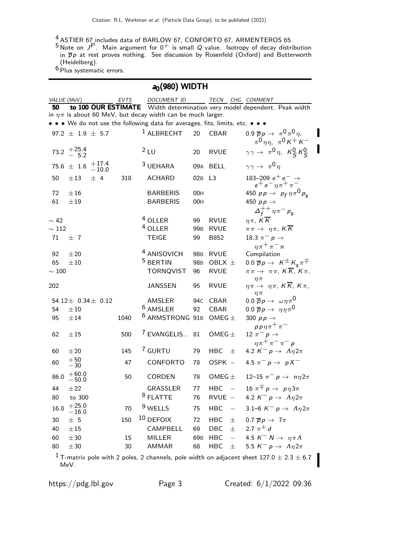$\frac{4}{5}$  ASTIER 67 includes data of BARLOW 67, CONFORTO 67, ARMENTEROS 65.

 $^5$  Note on  $J^P$ . Main argument for  $0^+$  is small  $Q$  value. Isotropy of decay distribution in  $\overline{p}p$  at rest proves nothing. See discussion by Rosenfeld (Oxford) and Butterworth (Heidelberg).

 $6$  Plus systematic errors.

| $a_0(980)$ WIDTH              |                          |                             |      |  |                                                                               |                             |                                             |                                                                                                                                             |
|-------------------------------|--------------------------|-----------------------------|------|--|-------------------------------------------------------------------------------|-----------------------------|---------------------------------------------|---------------------------------------------------------------------------------------------------------------------------------------------|
| VALUE (MeV)                   |                          |                             | EVTS |  | DOCUMENT ID TECN CHG COMMENT                                                  |                             |                                             |                                                                                                                                             |
| 50                            |                          |                             |      |  | in $\eta \pi$ is about 60 MeV, but decay width can be much larger.            |                             |                                             | to 100 OUR ESTIMATE Width determination very model dependent. Peak width                                                                    |
|                               |                          |                             |      |  | • • • We do not use the following data for averages, fits, limits, etc. • • • |                             |                                             |                                                                                                                                             |
|                               | 97.2 $\pm$ 1.9 $\pm$ 5.7 |                             |      |  | <sup>1</sup> ALBRECHT                                                         | 20                          | <b>CBAR</b>                                 | 0.9 $\bar{p}p \to \pi^0 \pi^0 \eta$ ,<br>$\pi^{0}\eta\eta$ , $\pi^{0}\kappa^{+}\kappa^{-}$                                                  |
|                               | 73.2 $+25.4$             |                             |      |  | 2LU                                                                           | 20                          | <b>RVUE</b>                                 | $\gamma \gamma \rightarrow \pi^0 \eta$ , $K_S^0 K_S^0$                                                                                      |
|                               | $75.6 \pm 1.6$           | $+17.4$<br>$-10.0$          |      |  | $3$ UEHARA                                                                    |                             | 09A BELL                                    | $\gamma \gamma \rightarrow \pi^0 \eta$                                                                                                      |
| 50                            | $\pm 13$                 | ± 4                         | 318  |  | <b>ACHARD</b>                                                                 | 02B L3                      |                                             | 183–209 $e^+e^- \rightarrow$<br>$e^+e^-\eta\pi^+\pi^-$                                                                                      |
| 72<br>61                      | ±16<br>±19               |                             |      |  | <b>BARBERIS</b><br><b>BARBERIS</b>                                            | 00H<br>00H                  |                                             | 450 $p p \to p_f \eta \pi^0 p_s$<br>450 $pp \rightarrow$<br>$\Delta_f^{++} \eta \pi^- p_s$                                                  |
| $\sim$ 42<br>$\sim 112$<br>71 | ±7                       |                             |      |  | $4$ OLLER<br><sup>4</sup> OLLER<br><b>TEIGE</b>                               | 99<br>99 <sub>B</sub><br>99 | <b>RVUE</b><br><b>RVUE</b><br>B852          | $\eta\pi$ , $K\overline{K}$<br>$\pi\pi \to \eta\pi$ , $K\overline{K}$<br>18.3 $\pi^-$ p $\rightarrow$                                       |
| 92<br>65<br>$\sim100$         | $\pm 20$<br>±10          |                             |      |  | <sup>4</sup> ANISOVICH<br><sup>5</sup> BERTIN<br><b>TORNQVIST</b>             | 96                          | 98B RVUE<br>98B OBLX ±<br><b>RVUE</b>       | $n\pi^+\pi^-$<br>Compilation<br>0.0 $\overline{p}p \rightarrow K^{\pm}K_{s}\pi^{\mp}$<br>$\pi\pi \to \pi\pi$ , $K\overline{K}$ , $K\pi$ ,   |
| 202                           |                          |                             |      |  | <b>JANSSEN</b>                                                                | 95                          | <b>RVUE</b>                                 | $\eta \pi$<br>$\eta \pi \to \eta \pi$ , $K \overline{K}$ , $K \pi$ ,                                                                        |
| 54<br>95                      | ±10<br>±14               | 54.12 $\pm$ 0.34 $\pm$ 0.12 | 1040 |  | AMSLER<br><sup>6</sup> AMSLER<br><sup>6</sup> ARMSTRONG 91B                   | 94c<br>92                   | <b>CBAR</b><br><b>CBAR</b><br>OMEG $\pm$    | $\eta \pi$<br>0.0 $\overline{p}p \rightarrow \omega \eta \pi^0$<br>0.0 $\overline{p}p \rightarrow \eta \eta \pi^0$<br>300 $p p \rightarrow$ |
| 62                            | ±15                      |                             | 500  |  | $7$ EVANGELIS 81                                                              |                             | OMEG $\pm$                                  | $pp\eta\pi^+\pi^-$<br>12 $\pi^-$ p $\rightarrow$                                                                                            |
| 60                            | ±20                      |                             | 145  |  | 7 GURTU                                                                       | 79                          | HBC<br>$\pm$                                | $\eta \pi^+ \pi^- \pi^- p$<br>4.2 $K^- p \rightarrow \Lambda \eta 2\pi$                                                                     |
| 60                            | $+50$<br>$-30$           |                             | 47   |  | CONFORTO                                                                      | 78                          | $OSPK -$                                    | 4.5 $\pi^ p \to pX^-$                                                                                                                       |
| 86.0                          | $+60.0$<br>$-50.0$       |                             | 50   |  | <b>CORDEN</b>                                                                 | 78                          | OMEG $\pm$                                  | 12–15 $\pi^- p \to n \eta 2\pi$                                                                                                             |
| 44<br>80                      | ±22<br>to 300            |                             |      |  | GRASSLER<br><sup>8</sup> FLATTE                                               | 77<br>76                    | $\overline{\phantom{0}}$<br>HBC<br>$RVUE -$ | 16 $\pi^{\mp} p \rightarrow p \eta 3\pi$<br>4.2 $K^- p \rightarrow \Lambda \eta 2\pi$                                                       |
| 16.0                          | $+25.0$<br>$-16.0$       |                             | 70   |  | <sup>9</sup> WELLS                                                            | 75                          | <b>HBC</b><br>$\equiv$                      | 3.1–6 $K^- p \rightarrow \Lambda \eta 2\pi$                                                                                                 |
| 30<br>40                      | ± 5<br>$\pm 15$          |                             | 150  |  | $10$ DEFOIX<br>CAMPBELL                                                       | 72<br>69                    | <b>HBC</b><br>土<br>$\pm$<br>DBC             | 0.7 $\overline{p}p \rightarrow 7\pi$<br>2.7 $\pi^{+}$ d                                                                                     |
| 60                            | $\pm 30$                 |                             | 15   |  | <b>MILLER</b>                                                                 |                             | $\equiv$<br>69B HBC                         | 4.5 $K^- N \rightarrow \eta \pi \Lambda$                                                                                                    |
| 80                            | $\pm 30$                 |                             | 30   |  | AMMAR                                                                         | 68                          | <b>HBC</b><br>士                             | 5.5 $K^- p \rightarrow \Lambda \eta 2\pi$                                                                                                   |
|                               |                          |                             |      |  |                                                                               |                             |                                             | $^1$ T-matrix pole with 2 poles, 2 channels, pole width on adjacent sheet 127.0 $\pm$ 2.3 $\pm$ 6.7                                         |

MeV.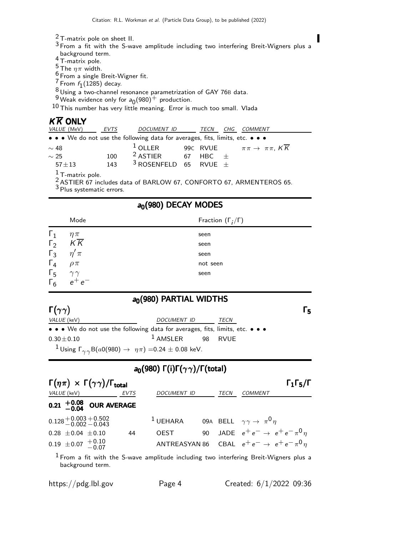- $\frac{2}{3}$  T-matrix pole on sheet II.
- $3$  From a fit with the S-wave amplitude including two interfering Breit-Wigners plus a

Π

- background term.<br>4 T-matrix pole.
- $\frac{5}{3}$  The  $\eta \pi$  width.
- $6$  From a single Breit-Wigner fit.
- $\frac{7}{9}$  From  $f_1(1285)$  decay.
- $\frac{8}{3}$ Using a two-channel resonance parametrization of GAY 76B data.
- $\frac{9}{10}$ Weak evidence only for  $a_0(980)^+$  production.

10 This number has very little meaning. Error is much too small. Vlada

#### $K \overline{K}$  ONLY

| <i>VALUE</i> (MeV)           | <b>EVTS</b> | DOCUMENT ID                                                                   | <b>TECN</b> | CHG | <i>COMMENT</i>                                                                 |
|------------------------------|-------------|-------------------------------------------------------------------------------|-------------|-----|--------------------------------------------------------------------------------|
|                              |             | • • • We do not use the following data for averages, fits, limits, etc. • • • |             |     |                                                                                |
| $\sim$ 48                    |             | $1$ OLLER                                                                     | 99C RVUE    |     | $\pi\pi\to \pi\pi$ , KK                                                        |
| $\sim$ 25                    | 100         | <sup>2</sup> ASTIER 67 HBC $\pm$                                              |             |     |                                                                                |
| $57 + 13$                    | 143         | <sup>3</sup> ROSENFELD 65 RVUE $\pm$                                          |             |     |                                                                                |
| $\frac{1}{3}$ T-matrix pole. |             |                                                                               |             |     |                                                                                |
|                              |             |                                                                               |             |     | <sup>2</sup> ASTIER 67 includes data of BARLOW 67, CONFORTO 67, ARMENTEROS 65. |

 $\frac{2}{3}$  Plus systematic errors.

|                        |                                                         | $a0(980)$ DECAY MODES                                                                    |                 |
|------------------------|---------------------------------------------------------|------------------------------------------------------------------------------------------|-----------------|
|                        | Mode                                                    | Fraction $(\Gamma_i/\Gamma)$                                                             |                 |
| $\Gamma_1$             | $\eta \pi$                                              | seen                                                                                     |                 |
| $\Gamma_2$             | $K\overline{K}$                                         | seen                                                                                     |                 |
| $\Gamma_3$             | $\eta' \pi$                                             | seen                                                                                     |                 |
| $\Gamma_4$             | $\rho \pi$                                              | not seen                                                                                 |                 |
| $\Gamma_5$             | $\begin{array}{c} \gamma\gamma \ e^+ \ e^- \end{array}$ | seen                                                                                     |                 |
| $\Gamma_6$             |                                                         |                                                                                          |                 |
|                        |                                                         | $a0$ (980) PARTIAL WIDTHS                                                                |                 |
| $\Gamma(\gamma\gamma)$ |                                                         |                                                                                          | $\mathsf{r}_5$  |
|                        | VALUE (keV)                                             | <b>DOCUMENT ID</b><br><b>TECN</b>                                                        |                 |
|                        |                                                         | • • • We do not use the following data for averages, fits, limits, etc. • • •            |                 |
|                        | $0.30 \pm 0.10$                                         | $1$ AMSLER<br>98<br><b>RVUE</b>                                                          |                 |
|                        |                                                         | <sup>1</sup> Using $\Gamma_{\gamma \gamma} B(a0(980) \to \eta \pi) = 0.24 \pm 0.08$ keV. |                 |
|                        |                                                         | $a_0(980) \Gamma(i) \Gamma(\gamma \gamma) / \Gamma(\text{total})$                        |                 |
|                        | $\Gamma(m_{\pi}) \vee \Gamma(m_{\pi})$ / $\Gamma$       |                                                                                          | <u>г. г. /г</u> |

| $\Gamma(\eta \pi) \times \Gamma(\gamma \gamma) / \Gamma_{\text{total}}$ |      |                                                                     |      | $\Gamma_1\Gamma_5/\Gamma$                                 |
|-------------------------------------------------------------------------|------|---------------------------------------------------------------------|------|-----------------------------------------------------------|
| <i>VALUE</i> (keV)                                                      | EVTS | <b>DOCUMENT ID</b>                                                  | TECN | <b>COMMENT</b>                                            |
| 0.21 $^{+0.08}_{-0.04}$ OUR AVERAGE                                     |      |                                                                     |      |                                                           |
| $0.128 + 0.003 + 0.502$<br>-0.002 -0.043                                |      | <sup>1</sup> UEHARA 09A BELL $\gamma \gamma \rightarrow \pi^0 \eta$ |      |                                                           |
| $0.28 \pm 0.04 \pm 0.10$                                                | 44   | <b>OEST</b>                                                         |      | 90 JADE $e^+e^- \to e^+e^- \pi^0 \eta$                    |
| $0.19 \pm 0.07 + 0.10$<br>-0.07                                         |      |                                                                     |      | ANTREASYAN 86 CBAL $e^+e^- \rightarrow e^+e^- \pi^0 \eta$ |

 $1$  From a fit with the S-wave amplitude including two interfering Breit-Wigners plus a background term.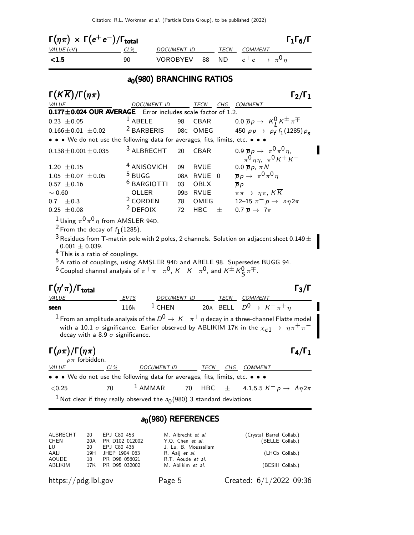| $\Gamma(\eta\pi) \times \Gamma(e^+e^-)/\Gamma_{\rm total}$ |        |                                                |      | $\Gamma_1\Gamma_6/\Gamma$ |  |  |  |  |
|------------------------------------------------------------|--------|------------------------------------------------|------|---------------------------|--|--|--|--|
| VALUE (eV)                                                 | $CL\%$ | DOCUMENT ID                                    | TECN | <i>COMMENT</i>            |  |  |  |  |
| $\langle 1.5$                                              | 90     | VOROBYEV 88 ND $e^+e^- \rightarrow \pi^0 \eta$ |      |                           |  |  |  |  |
| $\sim$ (000) DDANGUING DATION                              |        |                                                |      |                           |  |  |  |  |

#### $a_0(980)$  BRANCHING RATIOS

| $\Gamma(K\overline{K})/\Gamma(\eta\pi)$                                                                                                                                                                                                                                                                           |                                                                      |       |             |   | $\Gamma_2/\Gamma_1$                                                                                                    |  |  |  |  |
|-------------------------------------------------------------------------------------------------------------------------------------------------------------------------------------------------------------------------------------------------------------------------------------------------------------------|----------------------------------------------------------------------|-------|-------------|---|------------------------------------------------------------------------------------------------------------------------|--|--|--|--|
| <i>VALUE</i>                                                                                                                                                                                                                                                                                                      | <b>DOCUMENT ID</b>                                                   |       |             |   | TECN CHG COMMENT                                                                                                       |  |  |  |  |
|                                                                                                                                                                                                                                                                                                                   | $0.177 \pm 0.024$ OUR AVERAGE<br>Error includes scale factor of 1.2. |       |             |   |                                                                                                                        |  |  |  |  |
| $0.23 \pm 0.05$                                                                                                                                                                                                                                                                                                   | $1$ ABELE                                                            | 98    | CBAR        |   | $0.0 \overline{p}p \rightarrow K_1^0 K^{\pm} \pi^{\mp}$                                                                |  |  |  |  |
| $0.166 \pm 0.01 \pm 0.02$                                                                                                                                                                                                                                                                                         | <sup>2</sup> BARBERIS                                                |       | 98C OMEG    |   | 450 $p p \to p_f f_1(1285) p_s$                                                                                        |  |  |  |  |
| • • • We do not use the following data for averages, fits, limits, etc. • • •                                                                                                                                                                                                                                     |                                                                      |       |             |   |                                                                                                                        |  |  |  |  |
| $0.138 \pm 0.001 \pm 0.035$                                                                                                                                                                                                                                                                                       | <sup>3</sup> ALBRECHT                                                | 20    | <b>CBAR</b> |   | 0.9 $\bar{p}p \to \pi^0 \pi^0 \eta$ ,<br>$\pi^0 \eta \eta$ , $\pi^0 K^+ K^-$                                           |  |  |  |  |
| $1.20 \pm 0.15$                                                                                                                                                                                                                                                                                                   | <sup>4</sup> ANISOVICH                                               | 09    | <b>RVUE</b> |   | $0.0 \overline{p} p$ , $\pi N$                                                                                         |  |  |  |  |
| $1.05 \pm 0.07 \pm 0.05$                                                                                                                                                                                                                                                                                          | $^5$ BUGG                                                            |       | 08A RVUE 0  |   | $\overline{p}p \rightarrow \pi^0 \pi^0 \eta$                                                                           |  |  |  |  |
| $0.57 \pm 0.16$                                                                                                                                                                                                                                                                                                   | <sup>6</sup> BARGIOTTI                                               | 03    | <b>OBLX</b> |   | $\overline{p}p$                                                                                                        |  |  |  |  |
| $\sim 0.60$                                                                                                                                                                                                                                                                                                       | OLLER                                                                | 99B l | <b>RVUE</b> |   | $\pi\pi \to \eta\pi$ , $K\overline{K}$                                                                                 |  |  |  |  |
| 0.7<br>$+0.3$                                                                                                                                                                                                                                                                                                     | <sup>2</sup> CORDEN                                                  | 78    | OMEG        |   | 12-15 $\pi^- p \to n p 2\pi$                                                                                           |  |  |  |  |
| $0.25 \pm 0.08$                                                                                                                                                                                                                                                                                                   | <sup>2</sup> DEFOIX                                                  | 72    | <b>HBC</b>  | 士 | 0.7 $\overline{p} \rightarrow 7\pi$                                                                                    |  |  |  |  |
| $0.001 \pm 0.039$ .<br><sup>4</sup> This is a ratio of couplings.<br><sup>5</sup> A ratio of couplings, using AMSLER 94D and ABELE 98. Supersedes BUGG 94.<br><sup>6</sup> Coupled channel analysis of $\pi^+\pi^-\pi^0$ , $K^+K^-\pi^0$ , and $K^{\pm}K^0_S\pi^{\mp}$ .<br>$\Gamma(\eta'\pi)/\Gamma_{\rm total}$ |                                                                      |       |             |   | $^3$ Residues from T-matrix pole with 2 poles, 2 channels. Solution on adjacent sheet 0.149 $\pm$<br>$\Gamma_3/\Gamma$ |  |  |  |  |
| VALUE                                                                                                                                                                                                                                                                                                             | <b>EVTS</b>                                                          |       |             |   | DOCUMENT ID TECN COMMENT                                                                                               |  |  |  |  |
| seen                                                                                                                                                                                                                                                                                                              | $1$ CHEN<br>116k                                                     |       |             |   | 20A BELL $D^0 \rightarrow K^- \pi^+ \eta$                                                                              |  |  |  |  |
| $^1$ From an amplitude analysis of the $D^0\to\,$ $\kappa^-\,\pi^+\,\eta$ decay in a three-channel Flatte model<br>with a 10.1 $\sigma$ significance. Earlier observed by ABLIKIM 17K in the $\chi_{c1} \rightarrow \eta \pi^+ \pi^-$<br>decay with a 8.9 $\sigma$ significance.                                  |                                                                      |       |             |   |                                                                                                                        |  |  |  |  |
| $\Gamma(\rho\pi)/\Gamma(\eta\pi)$<br>$\rho \pi$ forbidden.                                                                                                                                                                                                                                                        |                                                                      |       |             |   | $\Gamma_4/\Gamma_1$                                                                                                    |  |  |  |  |
| CL%<br><b>VALUE</b>                                                                                                                                                                                                                                                                                               | DOCUMENT ID                                                          |       |             |   | TECN CHG COMMENT                                                                                                       |  |  |  |  |
| • • • We do not use the following data for averages, fits, limits, etc. • • •                                                                                                                                                                                                                                     |                                                                      |       |             |   |                                                                                                                        |  |  |  |  |
| 70<br>< 0.25                                                                                                                                                                                                                                                                                                      | $1$ AMMAR                                                            |       | 70 HBC      |   | $\pm$ 4.1,5.5 K <sup>-</sup> p $\rightarrow$ $\Lambda \eta 2\pi$                                                       |  |  |  |  |
| <sup>1</sup> Not clear if they really observed the $a_0(980)$ 3 standard deviations.                                                                                                                                                                                                                              |                                                                      |       |             |   |                                                                                                                        |  |  |  |  |

| ALBRECHT | 20  | EPJ C80 453       | M. Albrecht et al.    | (Crystal Barrel Collab.) |
|----------|-----|-------------------|-----------------------|--------------------------|
| CHEN     | 20A | PR D102 012002    | Y.Q. Chen et al.      | (BELLE Collab.)          |
| LU       | 20  | EPJ C80 436       | J. Lu, B. Moussallam  |                          |
| AAIJ     | 19H | JHEP 1904 063     | R. Aaij <i>et al.</i> | (LHCb Collab.)           |
| AOUDE    | 18  | PR D98 056021     | R.T. Aoude et al.     |                          |
| ABLIKIM  |     | 17K PR D95 032002 | M. Ablikim et al.     | (BESIII Collab.)         |
|          |     |                   |                       |                          |

 $a_0(980)$  REFERENCES

https://pdg.lbl.gov Page 5 Created: 6/1/2022 09:36

 $\overline{\phantom{a}}$